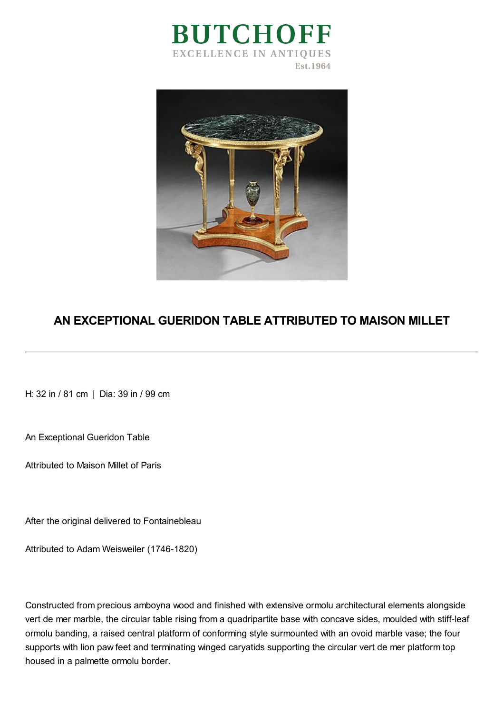



## **AN EXCEPTIONAL GUERIDON TABLE ATTRIBUTED TO MAISON MILLET**

H: 32 in / 81 cm | Dia: 39 in / 99 cm

An Exceptional Gueridon Table

Attributed to Maison Millet of Paris

After the original delivered to Fontainebleau

Attributed to Adam Weisweiler (1746-1820)

Constructed from precious amboyna wood and finished with extensive ormolu architectural elements alongside vert de mer marble, the circular table rising from a quadripartite base with concave sides, moulded with stiff-leaf ormolu banding, a raised central platform of conforming style surmounted with an ovoid marble vase; the four supports with lion paw feet and terminating winged caryatids supporting the circular vert de mer platform top housed in a palmette ormolu border.